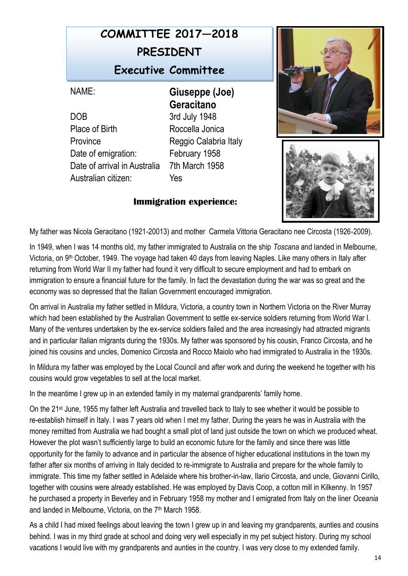## **COMMITTEE 2017—2018 PRESIDENT Executive Committee**

DOB 3rd July 1948 Place of Birth Roccella Jonica Province Reggio Calabria Italy Date of emigration: February 1958 Date of arrival in Australia 7th March 1958 Australian citizen: Yes

NAME: **Giuseppe (Joe) Geracitano**

## **Immigration experience:**





My father was Nicola Geracitano (1921-20013) and mother Carmela Vittoria Geracitano nee Circosta (1926-2009).

In 1949, when I was 14 months old, my father immigrated to Australia on the ship *Toscana* and landed in Melbourne, Victoria, on 9th October, 1949. The voyage had taken 40 days from leaving Naples. Like many others in Italy after returning from World War II my father had found it very difficult to secure employment and had to embark on immigration to ensure a financial future for the family. In fact the devastation during the war was so great and the economy was so depressed that the Italian Government encouraged immigration.

On arrival in Australia my father settled in Mildura, Victoria, a country town in Northern Victoria on the River Murray which had been established by the Australian Government to settle ex-service soldiers returning from World War I. Many of the ventures undertaken by the ex-service soldiers failed and the area increasingly had attracted migrants and in particular Italian migrants during the 1930s. My father was sponsored by his cousin, Franco Circosta, and he joined his cousins and uncles, Domenico Circosta and Rocco Maiolo who had immigrated to Australia in the 1930s.

In Mildura my father was employed by the Local Council and after work and during the weekend he together with his cousins would grow vegetables to sell at the local market.

In the meantime I grew up in an extended family in my maternal grandparents' family home.

On the 21st June, 1955 my father left Australia and travelled back to Italy to see whether it would be possible to re-establish himself in Italy. I was 7 years old when I met my father. During the years he was in Australia with the money remitted from Australia we had bought a small plot of land just outside the town on which we produced wheat. However the plot wasn't sufficiently large to build an economic future for the family and since there was little opportunity for the family to advance and in particular the absence of higher educational institutions in the town my father after six months of arriving in Italy decided to re-immigrate to Australia and prepare for the whole family to immigrate. This time my father settled in Adelaide where his brother-in-law, Ilario Circosta, and uncle, Giovanni Cirillo, together with cousins were already established. He was employed by Davis Coop, a cotton mill in Kilkenny. In 1957 he purchased a property in Beverley and in February 1958 my mother and I emigrated from Italy on the liner *Oceania*  and landed in Melbourne, Victoria, on the 7<sup>th</sup> March 1958.

As a child I had mixed feelings about leaving the town I grew up in and leaving my grandparents, aunties and cousins behind. I was in my third grade at school and doing very well especially in my pet subject history. During my school vacations I would live with my grandparents and aunties in the country. I was very close to my extended family.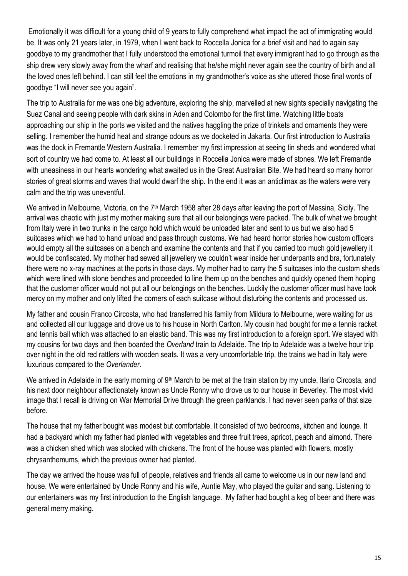Emotionally it was difficult for a young child of 9 years to fully comprehend what impact the act of immigrating would be. It was only 21 years later, in 1979, when I went back to Roccella Jonica for a brief visit and had to again say goodbye to my grandmother that I fully understood the emotional turmoil that every immigrant had to go through as the ship drew very slowly away from the wharf and realising that he/she might never again see the country of birth and all the loved ones left behind. I can still feel the emotions in my grandmother's voice as she uttered those final words of goodbye "I will never see you again".

The trip to Australia for me was one big adventure, exploring the ship, marvelled at new sights specially navigating the Suez Canal and seeing people with dark skins in Aden and Colombo for the first time. Watching little boats approaching our ship in the ports we visited and the natives haggling the prize of trinkets and ornaments they were selling. I remember the humid heat and strange odours as we docketed in Jakarta. Our first introduction to Australia was the dock in Fremantle Western Australia. I remember my first impression at seeing tin sheds and wondered what sort of country we had come to. At least all our buildings in Roccella Jonica were made of stones. We left Fremantle with uneasiness in our hearts wondering what awaited us in the Great Australian Bite. We had heard so many horror stories of great storms and waves that would dwarf the ship. In the end it was an anticlimax as the waters were very calm and the trip was uneventful.

We arrived in Melbourne, Victoria, on the 7<sup>th</sup> March 1958 after 28 days after leaving the port of Messina, Sicily. The arrival was chaotic with just my mother making sure that all our belongings were packed. The bulk of what we brought from Italy were in two trunks in the cargo hold which would be unloaded later and sent to us but we also had 5 suitcases which we had to hand unload and pass through customs. We had heard horror stories how custom officers would empty all the suitcases on a bench and examine the contents and that if you carried too much gold jewellery it would be confiscated. My mother had sewed all jewellery we couldn't wear inside her underpants and bra, fortunately there were no x-ray machines at the ports in those days. My mother had to carry the 5 suitcases into the custom sheds which were lined with stone benches and proceeded to line them up on the benches and quickly opened them hoping that the customer officer would not put all our belongings on the benches. Luckily the customer officer must have took mercy on my mother and only lifted the corners of each suitcase without disturbing the contents and processed us.

My father and cousin Franco Circosta, who had transferred his family from Mildura to Melbourne, were waiting for us and collected all our luggage and drove us to his house in North Carlton. My cousin had bought for me a tennis racket and tennis ball which was attached to an elastic band. This was my first introduction to a foreign sport. We stayed with my cousins for two days and then boarded the *Overland* train to Adelaide. The trip to Adelaide was a twelve hour trip over night in the old red rattlers with wooden seats. It was a very uncomfortable trip, the trains we had in Italy were luxurious compared to the *Overlander*.

We arrived in Adelaide in the early morning of 9<sup>th</sup> March to be met at the train station by my uncle, Ilario Circosta, and his next door neighbour affectionately known as Uncle Ronny who drove us to our house in Beverley. The most vivid image that I recall is driving on War Memorial Drive through the green parklands. I had never seen parks of that size before.

The house that my father bought was modest but comfortable. It consisted of two bedrooms, kitchen and lounge. It had a backyard which my father had planted with vegetables and three fruit trees, apricot, peach and almond. There was a chicken shed which was stocked with chickens. The front of the house was planted with flowers, mostly chrysanthemums, which the previous owner had planted.

The day we arrived the house was full of people, relatives and friends all came to welcome us in our new land and house. We were entertained by Uncle Ronny and his wife, Auntie May, who played the guitar and sang. Listening to our entertainers was my first introduction to the English language. My father had bought a keg of beer and there was general merry making.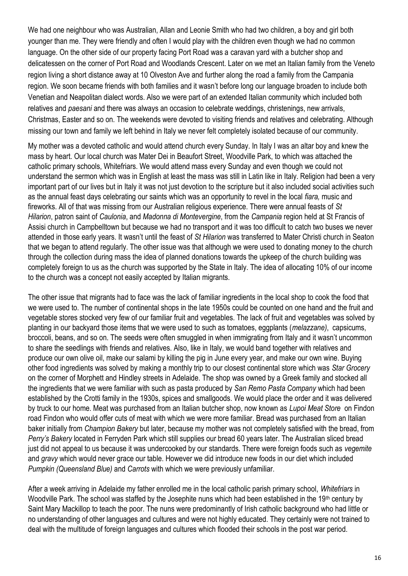We had one neighbour who was Australian, Allan and Leonie Smith who had two children, a boy and girl both younger than me. They were friendly and often I would play with the children even though we had no common language. On the other side of our property facing Port Road was a caravan yard with a butcher shop and delicatessen on the corner of Port Road and Woodlands Crescent. Later on we met an Italian family from the Veneto region living a short distance away at 10 Olveston Ave and further along the road a family from the Campania region. We soon became friends with both families and it wasn't before long our language broaden to include both Venetian and Neapolitan dialect words. Also we were part of an extended Italian community which included both relatives and *paesani* and there was always an occasion to celebrate weddings, christenings, new arrivals, Christmas, Easter and so on. The weekends were devoted to visiting friends and relatives and celebrating. Although missing our town and family we left behind in Italy we never felt completely isolated because of our community.

My mother was a devoted catholic and would attend church every Sunday. In Italy I was an altar boy and knew the mass by heart. Our local church was Mater Dei in Beaufort Street, Woodville Park, to which was attached the catholic primary schools, Whitefriars. We would attend mass every Sunday and even though we could not understand the sermon which was in English at least the mass was still in Latin like in Italy. Religion had been a very important part of our lives but in Italy it was not just devotion to the scripture but it also included social activities such as the annual feast days celebrating our saints which was an opportunity to revel in the local *fiara,* music and fireworks. All of that was missing from our Australian religious experience. There were annual feasts of *St Hilarion*, patron saint of *Caulonia*, and *Madonna di Montevergine*, from the *Campania* region held at St Francis of Assisi church in Campbelltown but because we had no transport and it was too difficult to catch two buses we never attended in those early years. It wasn't until the feast of *St Hilarion* was transferred to Mater Christi church in Seaton that we began to attend regularly. The other issue was that although we were used to donating money to the church through the collection during mass the idea of planned donations towards the upkeep of the church building was completely foreign to us as the church was supported by the State in Italy. The idea of allocating 10% of our income to the church was a concept not easily accepted by Italian migrants.

The other issue that migrants had to face was the lack of familiar ingredients in the local shop to cook the food that we were used to. The number of continental shops in the late 1950s could be counted on one hand and the fruit and vegetable stores stocked very few of our familiar fruit and vegetables. The lack of fruit and vegetables was solved by planting in our backyard those items that we were used to such as tomatoes, eggplants (*melazzane)*, capsicums, broccoli, beans, and so on. The seeds were often smuggled in when immigrating from Italy and it wasn't uncommon to share the seedlings with friends and relatives. Also, like in Italy, we would band together with relatives and produce our own olive oil, make our salami by killing the pig in June every year, and make our own wine. Buying other food ingredients was solved by making a monthly trip to our closest continental store which was *Star Grocery* on the corner of Morphett and Hindley streets in Adelaide. The shop was owned by a Greek family and stocked all the ingredients that we were familiar with such as pasta produced by *San Remo Pasta Company* which had been established by the Crotti family in the 1930s, spices and smallgoods. We would place the order and it was delivered by truck to our home. Meat was purchased from an Italian butcher shop, now known as *Lupoi Meat Store* on Findon road Findon who would offer cuts of meat with which we were more familiar. Bread was purchased from an Italian baker initially from *Champion Bakery* but later, because my mother was not completely satisfied with the bread, from *Perry's Bakery* located in Ferryden Park which still supplies our bread 60 years later. The Australian sliced bread just did not appeal to us because it was undercooked by our standards. There were foreign foods such as *vegemite* and *gravy* which would never grace our table. However we did introduce new foods in our diet which included *Pumpkin (Queensland Blue)* and *Carrots* with which we were previously unfamiliar.

After a week arriving in Adelaide my father enrolled me in the local catholic parish primary school, *Whitefriars* in Woodville Park. The school was staffed by the Josephite nuns which had been established in the 19<sup>th</sup> century by Saint Mary Mackillop to teach the poor. The nuns were predominantly of Irish catholic background who had little or no understanding of other languages and cultures and were not highly educated. They certainly were not trained to deal with the multitude of foreign languages and cultures which flooded their schools in the post war period.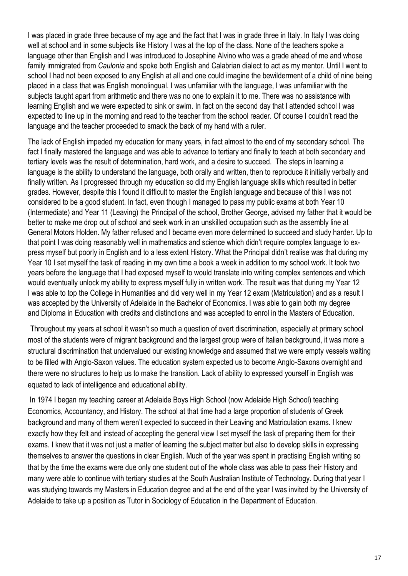I was placed in grade three because of my age and the fact that I was in grade three in Italy. In Italy I was doing well at school and in some subjects like History I was at the top of the class. None of the teachers spoke a language other than English and I was introduced to Josephine Alvino who was a grade ahead of me and whose family immigrated from *Caulonia* and spoke both English and Calabrian dialect to act as my mentor. Until I went to school I had not been exposed to any English at all and one could imagine the bewilderment of a child of nine being placed in a class that was English monolingual. I was unfamiliar with the language, I was unfamiliar with the subjects taught apart from arithmetic and there was no one to explain it to me. There was no assistance with learning English and we were expected to sink or swim. In fact on the second day that I attended school I was expected to line up in the morning and read to the teacher from the school reader. Of course I couldn't read the language and the teacher proceeded to smack the back of my hand with a ruler.

The lack of English impeded my education for many years, in fact almost to the end of my secondary school. The fact I finally mastered the language and was able to advance to tertiary and finally to teach at both secondary and tertiary levels was the result of determination, hard work, and a desire to succeed. The steps in learning a language is the ability to understand the language, both orally and written, then to reproduce it initially verbally and finally written. As I progressed through my education so did my English language skills which resulted in better grades. However, despite this I found it difficult to master the English language and because of this I was not considered to be a good student. In fact, even though I managed to pass my public exams at both Year 10 (Intermediate) and Year 11 (Leaving) the Principal of the school, Brother George, advised my father that it would be better to make me drop out of school and seek work in an unskilled occupation such as the assembly line at General Motors Holden. My father refused and I became even more determined to succeed and study harder. Up to that point I was doing reasonably well in mathematics and science which didn't require complex language to express myself but poorly in English and to a less extent History. What the Principal didn't realise was that during my Year 10 I set myself the task of reading in my own time a book a week in addition to my school work. It took two years before the language that I had exposed myself to would translate into writing complex sentences and which would eventually unlock my ability to express myself fully in written work. The result was that during my Year 12 I was able to top the College in Humanities and did very well in my Year 12 exam (Matriculation) and as a result I was accepted by the University of Adelaide in the Bachelor of Economics. I was able to gain both my degree and Diploma in Education with credits and distinctions and was accepted to enrol in the Masters of Education.

Throughout my years at school it wasn't so much a question of overt discrimination, especially at primary school most of the students were of migrant background and the largest group were of Italian background, it was more a structural discrimination that undervalued our existing knowledge and assumed that we were empty vessels waiting to be filled with Anglo-Saxon values. The education system expected us to become Anglo-Saxons overnight and there were no structures to help us to make the transition. Lack of ability to expressed yourself in English was equated to lack of intelligence and educational ability.

In 1974 I began my teaching career at Adelaide Boys High School (now Adelaide High School) teaching Economics, Accountancy, and History. The school at that time had a large proportion of students of Greek background and many of them weren't expected to succeed in their Leaving and Matriculation exams. I knew exactly how they felt and instead of accepting the general view I set myself the task of preparing them for their exams. I knew that it was not just a matter of learning the subject matter but also to develop skills in expressing themselves to answer the questions in clear English. Much of the year was spent in practising English writing so that by the time the exams were due only one student out of the whole class was able to pass their History and many were able to continue with tertiary studies at the South Australian Institute of Technology. During that year I was studying towards my Masters in Education degree and at the end of the year I was invited by the University of Adelaide to take up a position as Tutor in Sociology of Education in the Department of Education.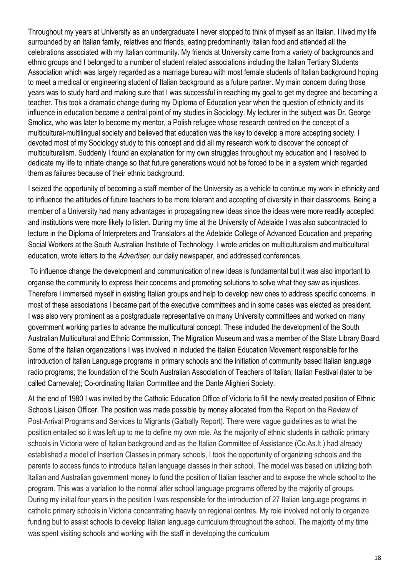Throughout my years at University as an undergraduate I never stopped to think of myself as an Italian. I lived my life surrounded by an Italian family, relatives and friends, eating predominantly Italian food and attended all the celebrations associated with my Italian community. My friends at University came from a variety of backgrounds and ethnic groups and I belonged to a number of student related associations including the Italian Tertiary Students Association which was largely regarded as a marriage bureau with most female students of Italian background hoping to meet a medical or engineering student of Italian background as a future partner. My main concern during those years was to study hard and making sure that I was successful in reaching my goal to get my degree and becoming a teacher. This took a dramatic change during my Diploma of Education year when the question of ethnicity and its influence in education became a central point of my studies in Sociology. My lecturer in the subject was Dr. George Smolicz, who was later to become my mentor, a Polish refugee whose research centred on the concept of a multicultural-multilingual society and believed that education was the key to develop a more accepting society. I devoted most of my Sociology study to this concept and did all my research work to discover the concept of multiculturalism. Suddenly I found an explanation for my own struggles throughout my education and I resolved to dedicate my life to initiate change so that future generations would not be forced to be in a system which regarded them as failures because of their ethnic background.

I seized the opportunity of becoming a staff member of the University as a vehicle to continue my work in ethnicity and to influence the attitudes of future teachers to be more tolerant and accepting of diversity in their classrooms. Being a member of a University had many advantages in propagating new ideas since the ideas were more readily accepted and institutions were more likely to listen. During my time at the University of Adelaide I was also subcontracted to lecture in the Diploma of Interpreters and Translators at the Adelaide College of Advanced Education and preparing Social Workers at the South Australian Institute of Technology. I wrote articles on multiculturalism and multicultural education, wrote letters to the *Advertiser*, our daily newspaper, and addressed conferences.

To influence change the development and communication of new ideas is fundamental but it was also important to organise the community to express their concerns and promoting solutions to solve what they saw as injustices. Therefore I immersed myself in existing Italian groups and help to develop new ones to address specific concerns. In most of these associations I became part of the executive committees and in some cases was elected as president. I was also very prominent as a postgraduate representative on many University committees and worked on many government working parties to advance the multicultural concept. These included the development of the South Australian Multicultural and Ethnic Commission, The Migration Museum and was a member of the State Library Board. Some of the Italian organizations I was involved in included the Italian Education Movement responsible for the introduction of Italian Language programs in primary schools and the initiation of community based Italian language radio programs; the foundation of the South Australian Association of Teachers of Italian; Italian Festival (later to be called Carnevale); Co-ordinating Italian Committee and the Dante Alighieri Society.

At the end of 1980 I was invited by the Catholic Education Office of Victoria to fill the newly created position of Ethnic Schools Liaison Officer. The position was made possible by money allocated from the Report on the Review of Post-Arrival Programs and Services to Migrants (Galbally Report). There were vague guidelines as to what the position entailed so it was left up to me to define my own role. As the majority of ethnic students in catholic primary schools in Victoria were of Italian background and as the Italian Committee of Assistance (Co.As.It.) had already established a model of Insertion Classes in primary schools, I took the opportunity of organizing schools and the parents to access funds to introduce Italian language classes in their school. The model was based on utilizing both Italian and Australian government money to fund the position of Italian teacher and to expose the whole school to the program. This was a variation to the normal after school language programs offered by the majority of groups. During my initial four years in the position I was responsible for the introduction of 27 Italian language programs in catholic primary schools in Victoria concentrating heavily on regional centres. My role involved not only to organize funding but to assist schools to develop Italian language curriculum throughout the school. The majority of my time was spent visiting schools and working with the staff in developing the curriculum